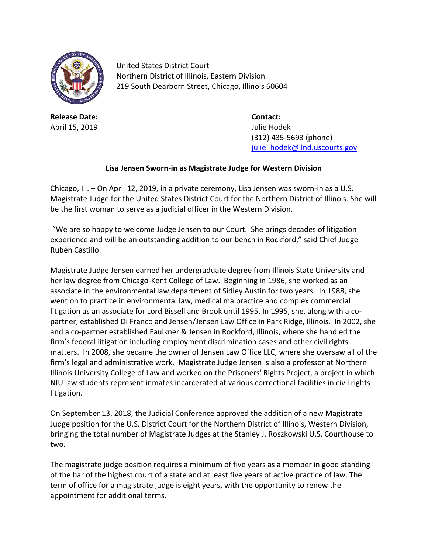

United States District Court Northern District of Illinois, Eastern Division 219 South Dearborn Street, Chicago, Illinois 60604

**Release Date: Contact:** April 15, 2019 Julie Hodek

(312) 435-5693 (phone) [julie\\_hodek@ilnd.uscourts.gov](mailto:julie_hodek@ilnd.uscourts.gov)

## **Lisa Jensen Sworn-in as Magistrate Judge for Western Division**

Chicago, Ill. – On April 12, 2019, in a private ceremony, Lisa Jensen was sworn-in as a U.S. Magistrate Judge for the United States District Court for the Northern District of Illinois. She will be the first woman to serve as a judicial officer in the Western Division.

"We are so happy to welcome Judge Jensen to our Court. She brings decades of litigation experience and will be an outstanding addition to our bench in Rockford," said Chief Judge Rubén Castillo.

Magistrate Judge Jensen earned her undergraduate degree from Illinois State University and her law degree from Chicago-Kent College of Law. Beginning in 1986, she worked as an associate in the environmental law department of Sidley Austin for two years. In 1988, she went on to practice in environmental law, medical malpractice and complex commercial litigation as an associate for Lord Bissell and Brook until 1995. In 1995, she, along with a copartner, established Di Franco and Jensen/Jensen Law Office in Park Ridge, Illinois. In 2002, she and a co-partner established Faulkner & Jensen in Rockford, Illinois, where she handled the firm's federal litigation including employment discrimination cases and other civil rights matters. In 2008, she became the owner of Jensen Law Office LLC, where she oversaw all of the firm's legal and administrative work. Magistrate Judge Jensen is also a professor at Northern Illinois University College of Law and worked on the Prisoners' Rights Project, a project in which NIU law students represent inmates incarcerated at various correctional facilities in civil rights litigation.

On September 13, 2018, the Judicial Conference approved the addition of a new Magistrate Judge position for the U.S. District Court for the Northern District of Illinois, Western Division, bringing the total number of Magistrate Judges at the Stanley J. Roszkowski U.S. Courthouse to two.

The magistrate judge position requires a minimum of five years as a member in good standing of the bar of the highest court of a state and at least five years of active practice of law. The term of office for a magistrate judge is eight years, with the opportunity to renew the appointment for additional terms.